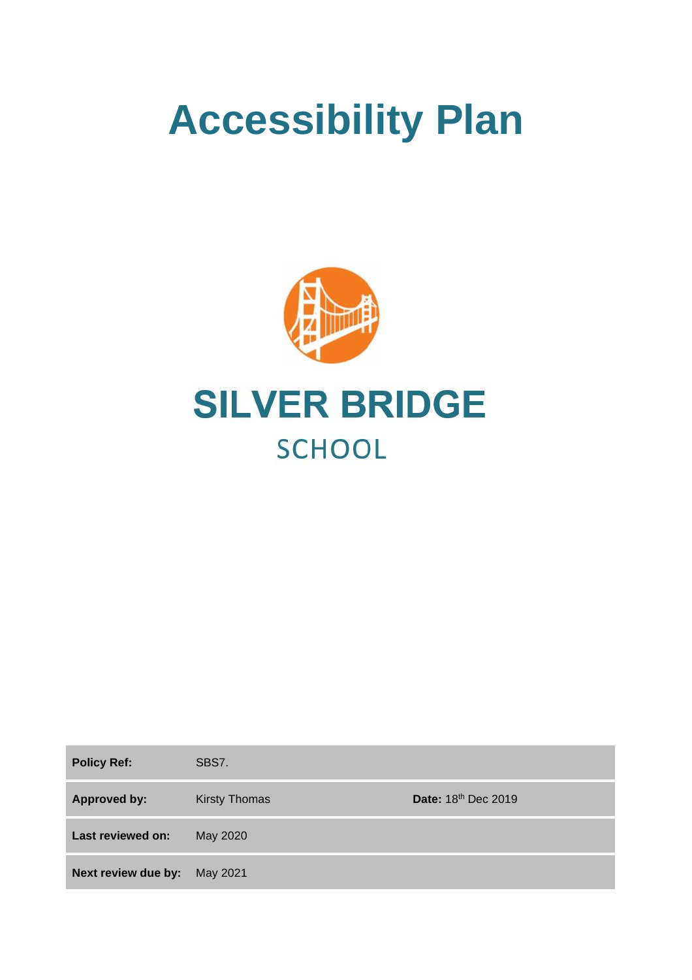# **Accessibility Plan**



| <b>Policy Ref:</b>  | SBS7.                |                     |
|---------------------|----------------------|---------------------|
| <b>Approved by:</b> | <b>Kirsty Thomas</b> | Date: 18th Dec 2019 |
| Last reviewed on:   | May 2020             |                     |
| Next review due by: | May 2021             |                     |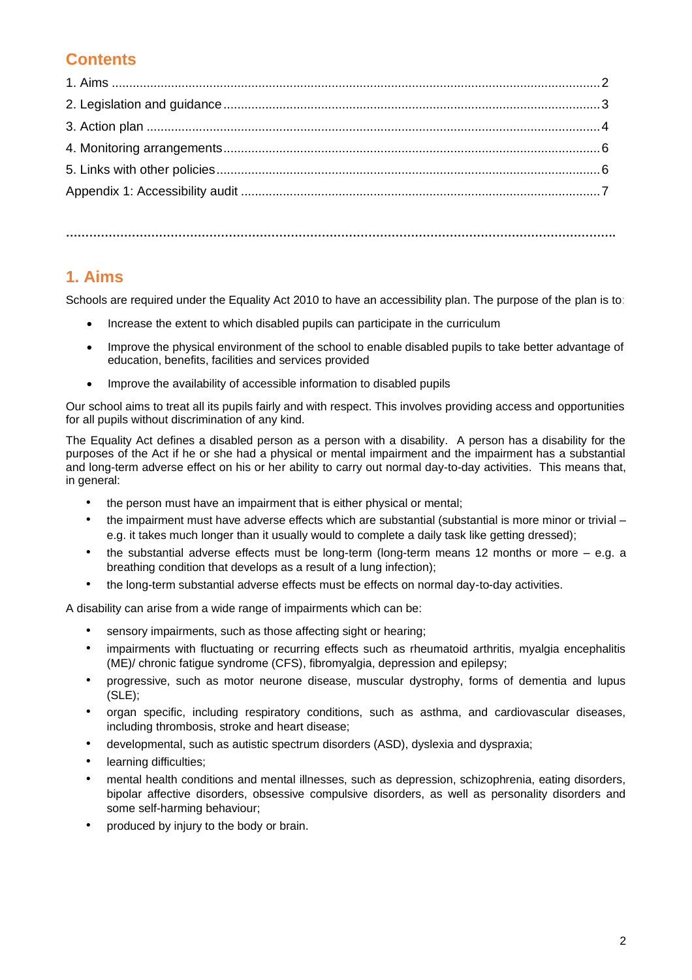## **Contents**

**…………………………………………………………………………………………………………………………….**

### **1. Aims**

Schools are required under the Equality Act 2010 to have an accessibility plan. The purpose of the plan is to:

- Increase the extent to which disabled pupils can participate in the curriculum
- Improve the physical environment of the school to enable disabled pupils to take better advantage of education, benefits, facilities and services provided
- Improve the availability of accessible information to disabled pupils

Our school aims to treat all its pupils fairly and with respect. This involves providing access and opportunities for all pupils without discrimination of any kind.

The Equality Act defines a disabled person as a person with a disability. A person has a disability for the purposes of the Act if he or she had a physical or mental impairment and the impairment has a substantial and long-term adverse effect on his or her ability to carry out normal day-to-day activities. This means that, in general:

- the person must have an impairment that is either physical or mental;
- the impairment must have adverse effects which are substantial (substantial is more minor or trivial e.g. it takes much longer than it usually would to complete a daily task like getting dressed);
- the substantial adverse effects must be long-term (long-term means 12 months or more e.g. a breathing condition that develops as a result of a lung infection);
- the long-term substantial adverse effects must be effects on normal day-to-day activities.

A disability can arise from a wide range of impairments which can be:

- sensory impairments, such as those affecting sight or hearing;
- impairments with fluctuating or recurring effects such as rheumatoid arthritis, myalgia encephalitis (ME)/ chronic fatigue syndrome (CFS), fibromyalgia, depression and epilepsy;
- progressive, such as motor neurone disease, muscular dystrophy, forms of dementia and lupus (SLE);
- organ specific, including respiratory conditions, such as asthma, and cardiovascular diseases, including thrombosis, stroke and heart disease;
- developmental, such as autistic spectrum disorders (ASD), dyslexia and dyspraxia;
- learning difficulties;
- mental health conditions and mental illnesses, such as depression, schizophrenia, eating disorders, bipolar affective disorders, obsessive compulsive disorders, as well as personality disorders and some self-harming behaviour;
- produced by injury to the body or brain.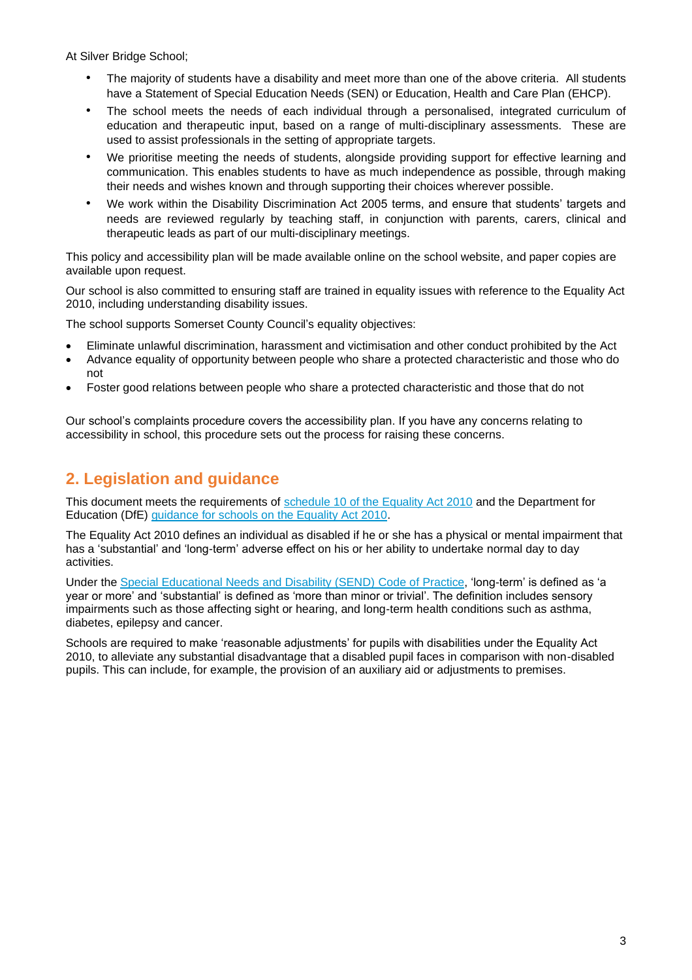At Silver Bridge School;

- The majority of students have a disability and meet more than one of the above criteria. All students have a Statement of Special Education Needs (SEN) or Education, Health and Care Plan (EHCP).
- The school meets the needs of each individual through a personalised, integrated curriculum of education and therapeutic input, based on a range of multi-disciplinary assessments. These are used to assist professionals in the setting of appropriate targets.
- We prioritise meeting the needs of students, alongside providing support for effective learning and communication. This enables students to have as much independence as possible, through making their needs and wishes known and through supporting their choices wherever possible.
- We work within the Disability Discrimination Act 2005 terms, and ensure that students' targets and needs are reviewed regularly by teaching staff, in conjunction with parents, carers, clinical and therapeutic leads as part of our multi-disciplinary meetings.

This policy and accessibility plan will be made available online on the school website, and paper copies are available upon request.

Our school is also committed to ensuring staff are trained in equality issues with reference to the Equality Act 2010, including understanding disability issues.

The school supports Somerset County Council's equality objectives:

- Eliminate unlawful discrimination, harassment and victimisation and other conduct prohibited by the Act
- Advance equality of opportunity between people who share a protected characteristic and those who do not
- Foster good relations between people who share a protected characteristic and those that do not

Our school's complaints procedure covers the accessibility plan. If you have any concerns relating to accessibility in school, this procedure sets out the process for raising these concerns.

### **2. Legislation and guidance**

This document meets the requirements of [schedule 10 of the Equality Act 2010](http://www.legislation.gov.uk/ukpga/2010/15/schedule/10) and the Department for Education (DfE) [guidance for schools on the Equality Act 2010.](https://www.gov.uk/government/publications/equality-act-2010-advice-for-schools)

The Equality Act 2010 defines an individual as disabled if he or she has a physical or mental impairment that has a 'substantial' and 'long-term' adverse effect on his or her ability to undertake normal day to day activities.

Under the [Special Educational Needs and Disability \(SEND\) Code of Practice,](https://www.gov.uk/government/publications/send-code-of-practice-0-to-25) 'long-term' is defined as 'a year or more' and 'substantial' is defined as 'more than minor or trivial'. The definition includes sensory impairments such as those affecting sight or hearing, and long-term health conditions such as asthma, diabetes, epilepsy and cancer.

Schools are required to make 'reasonable adjustments' for pupils with disabilities under the Equality Act 2010, to alleviate any substantial disadvantage that a disabled pupil faces in comparison with non-disabled pupils. This can include, for example, the provision of an auxiliary aid or adjustments to premises.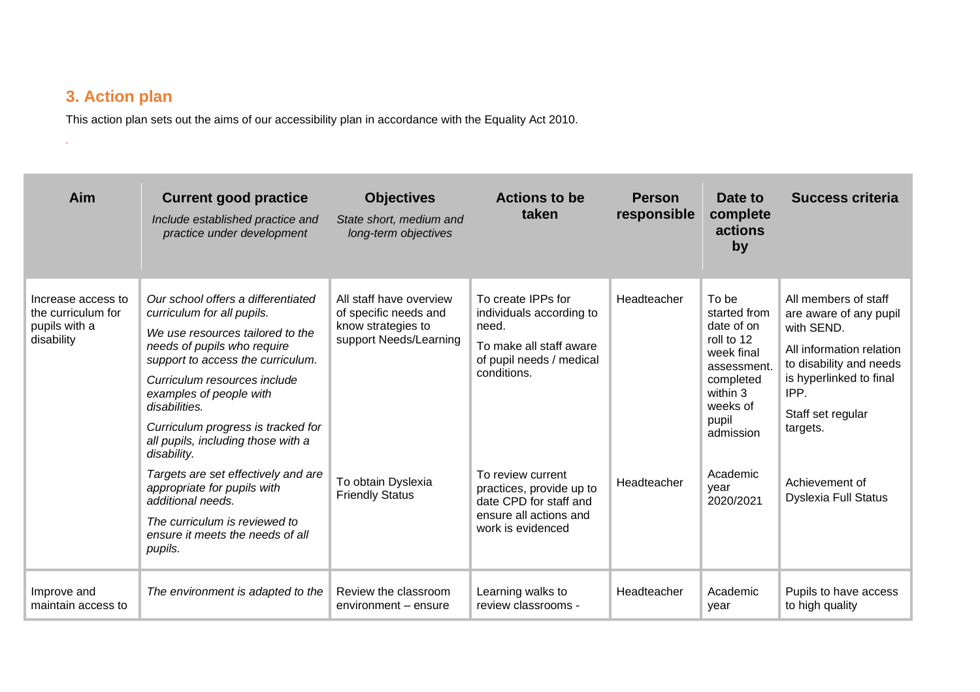# **3. Action plan**

*.*

This action plan sets out the aims of our accessibility plan in accordance with the Equality Act 2010.

| Aim                                                                     | <b>Current good practice</b><br>Include established practice and<br>practice under development                                                                                                                                                                                                                                                                                                                                                                                                                             | <b>Objectives</b><br>State short, medium and<br>long-term objectives                                                                             | <b>Actions to be</b><br>taken                                                                                                                                                                                                                           | <b>Person</b><br>responsible | Date to<br>complete<br>actions<br>by                                                                                                                                       | <b>Success criteria</b>                                                                                                                                                                                                                  |
|-------------------------------------------------------------------------|----------------------------------------------------------------------------------------------------------------------------------------------------------------------------------------------------------------------------------------------------------------------------------------------------------------------------------------------------------------------------------------------------------------------------------------------------------------------------------------------------------------------------|--------------------------------------------------------------------------------------------------------------------------------------------------|---------------------------------------------------------------------------------------------------------------------------------------------------------------------------------------------------------------------------------------------------------|------------------------------|----------------------------------------------------------------------------------------------------------------------------------------------------------------------------|------------------------------------------------------------------------------------------------------------------------------------------------------------------------------------------------------------------------------------------|
| Increase access to<br>the curriculum for<br>pupils with a<br>disability | Our school offers a differentiated<br>curriculum for all pupils.<br>We use resources tailored to the<br>needs of pupils who require<br>support to access the curriculum.<br>Curriculum resources include<br>examples of people with<br>disabilities.<br>Curriculum progress is tracked for<br>all pupils, including those with a<br>disability.<br>Targets are set effectively and are<br>appropriate for pupils with<br>additional needs.<br>The curriculum is reviewed to<br>ensure it meets the needs of all<br>pupils. | All staff have overview<br>of specific needs and<br>know strategies to<br>support Needs/Learning<br>To obtain Dyslexia<br><b>Friendly Status</b> | To create IPPs for<br>individuals according to<br>need.<br>To make all staff aware<br>of pupil needs / medical<br>conditions.<br>To review current<br>practices, provide up to<br>date CPD for staff and<br>ensure all actions and<br>work is evidenced | Headteacher<br>Headteacher   | To be<br>started from<br>date of on<br>roll to 12<br>week final<br>assessment.<br>completed<br>within 3<br>weeks of<br>pupil<br>admission<br>Academic<br>vear<br>2020/2021 | All members of staff<br>are aware of any pupil<br>with SEND.<br>All information relation<br>to disability and needs<br>is hyperlinked to final<br>IPP.<br>Staff set regular<br>targets.<br>Achievement of<br><b>Dyslexia Full Status</b> |
| Improve and<br>maintain access to                                       | The environment is adapted to the                                                                                                                                                                                                                                                                                                                                                                                                                                                                                          | Review the classroom<br>environment – ensure                                                                                                     | Learning walks to<br>review classrooms -                                                                                                                                                                                                                | Headteacher                  | Academic<br>year                                                                                                                                                           | Pupils to have access<br>to high quality                                                                                                                                                                                                 |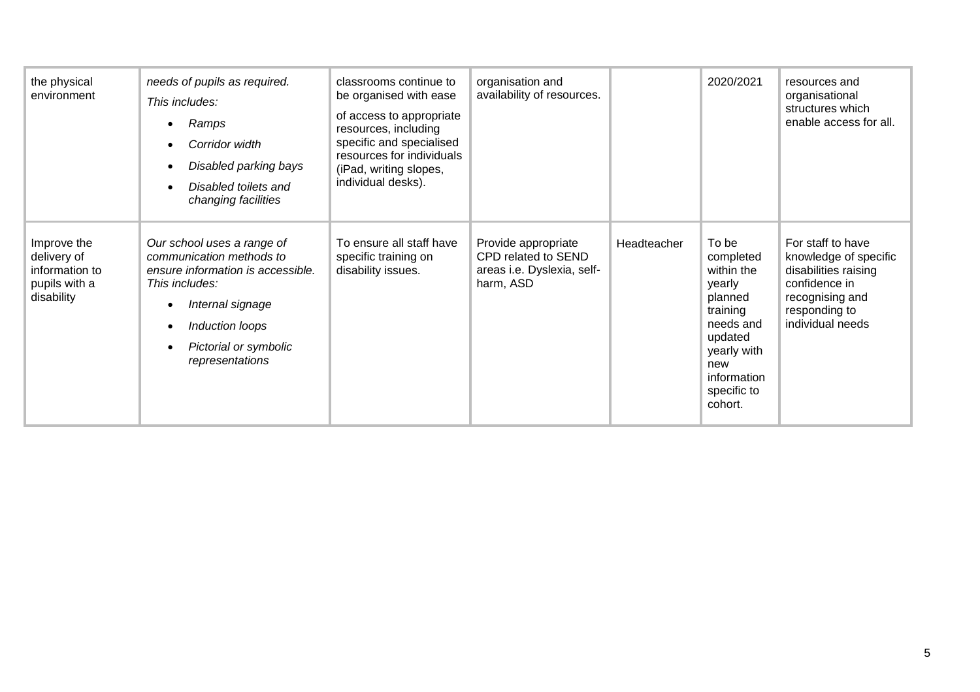| the physical<br>environment                                                 | needs of pupils as required.<br>This includes:<br>Ramps<br>Corridor width<br>Disabled parking bays<br>Disabled toilets and<br>changing facilities                                                | classrooms continue to<br>be organised with ease<br>of access to appropriate<br>resources, including<br>specific and specialised<br>resources for individuals<br>(iPad, writing slopes,<br>individual desks). | organisation and<br>availability of resources.                                        |             | 2020/2021                                                                                                                                                | resources and<br>organisational<br>structures which<br>enable access for all.                                                               |
|-----------------------------------------------------------------------------|--------------------------------------------------------------------------------------------------------------------------------------------------------------------------------------------------|---------------------------------------------------------------------------------------------------------------------------------------------------------------------------------------------------------------|---------------------------------------------------------------------------------------|-------------|----------------------------------------------------------------------------------------------------------------------------------------------------------|---------------------------------------------------------------------------------------------------------------------------------------------|
| Improve the<br>delivery of<br>information to<br>pupils with a<br>disability | Our school uses a range of<br>communication methods to<br>ensure information is accessible.<br>This includes:<br>Internal signage<br>Induction loops<br>Pictorial or symbolic<br>representations | To ensure all staff have<br>specific training on<br>disability issues.                                                                                                                                        | Provide appropriate<br>CPD related to SEND<br>areas i.e. Dyslexia, self-<br>harm, ASD | Headteacher | To be<br>completed<br>within the<br>yearly<br>planned<br>training<br>needs and<br>updated<br>yearly with<br>new<br>information<br>specific to<br>cohort. | For staff to have<br>knowledge of specific<br>disabilities raising<br>confidence in<br>recognising and<br>responding to<br>individual needs |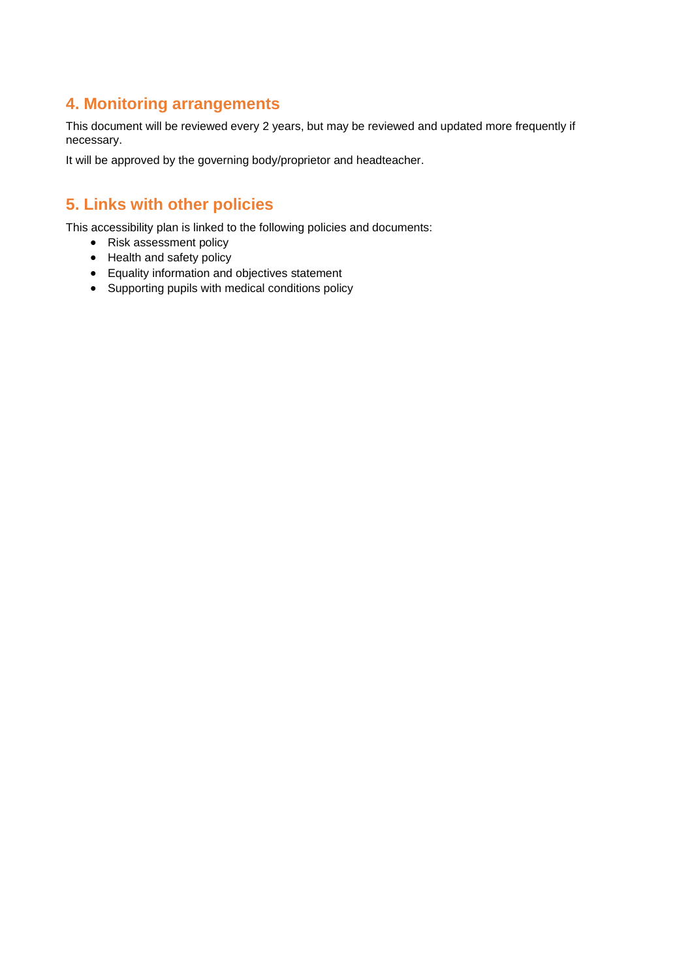#### **4. Monitoring arrangements**

This document will be reviewed every 2 years, but may be reviewed and updated more frequently if necessary.

It will be approved by the governing body/proprietor and headteacher.

## **5. Links with other policies**

This accessibility plan is linked to the following policies and documents:

- Risk assessment policy
- Health and safety policy
- Equality information and objectives statement
- Supporting pupils with medical conditions policy